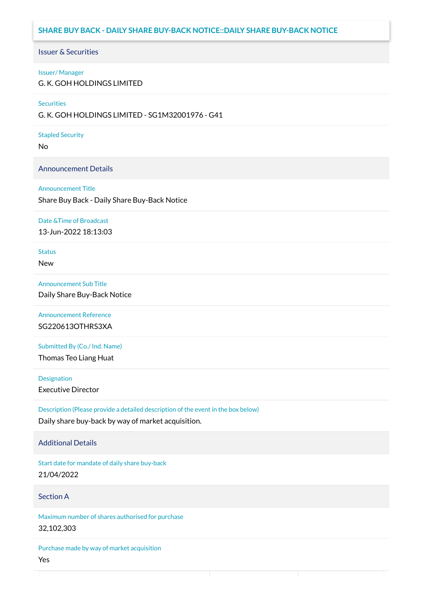# **SHARE BUY BACK - DAILY SHARE BUY-BACK NOTICE::DAILY SHARE BUY-BACK NOTICE**

#### Issuer & Securities

#### Issuer/ Manager

G. K. GOH HOLDINGS LIMITED

#### **Securities**

G. K. GOH HOLDINGS LIMITED - SG1M32001976 - G41

#### Stapled Security

No

#### Announcement Details

#### Announcement Title

Share Buy Back - Daily Share Buy-Back Notice

#### Date &Time of Broadcast

13-Jun-2022 18:13:03

# **Status**

New

# Announcement Sub Title

Daily Share Buy-Back Notice

# Announcement Reference SG220613OTHRS3XA

Submitted By (Co./ Ind. Name)

Thomas Teo Liang Huat

**Designation** 

Executive Director

Description (Please provide a detailed description of the event in the box below) Daily share buy-back by way of market acquisition.

#### Additional Details

Start date for mandate of daily share buy-back 21/04/2022

### Section A

Maximum number of shares authorised for purchase 32,102,303

Purchase made by way of market acquisition Yes